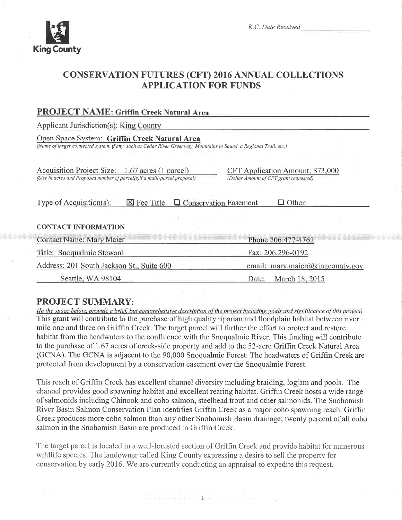

533868

# **CONSERVATION FUTURES (CFT) 2016 ANNUAL COLLECTIONS APPLICATION FOR FUNDS**

| <b>PROJECT NAME: Griffin Creek Natural Area</b>                                                                                                                      |                                                                                   |
|----------------------------------------------------------------------------------------------------------------------------------------------------------------------|-----------------------------------------------------------------------------------|
| <b>Applicant Jurisdiction(s): King County</b>                                                                                                                        |                                                                                   |
| Open Space System: Griffin Creek Natural Area<br>(Name of larger connected system, if any, such as Cedar River Greenway, Mountains to Sound, a Regional Trail, etc.) |                                                                                   |
| Acquisition Project Size: 1.67 acres (1 parcel)<br>(Size in acres and Proposed number of parcel(s) if a multi-parcel proposal)                                       | <b>CFT Application Amount: \$73,000</b><br>(Dollar Amount of CFT grant requested) |
| Type of Acquisition(s):<br>$\boxtimes$ Fee Title                                                                                                                     | $\Box$ Conservation Easement<br>Other:                                            |
| <b>CONTACT INFORMATION</b>                                                                                                                                           |                                                                                   |
| <b>Contact Name: Mary Maier</b>                                                                                                                                      | Phone 206.477-4762                                                                |
| Title: Snoqualmie Steward                                                                                                                                            | Fax: 206.296-0192                                                                 |
| Address: 201 South Jackson St., Suite 600                                                                                                                            | email: mary.maier@kingcounty.gov                                                  |
| Seattle, WA 98104                                                                                                                                                    | March 18, 2015<br>Date:                                                           |
|                                                                                                                                                                      |                                                                                   |

### **PROJECT SUMMARY:**

(In the space below, provide a brief, but comprehensive description of the project including goals and significance of this project) This grant will contribute to the purchase of high quality riparian and floodplain habitat between river mile one and three on Griffin Creek. The target parcel will further the effort to protect and restore habitat from the headwaters to the confluence with the Snoqualmie River. This funding will contribute to the purchase of 1.67 acres of creek-side property and add to the 52-acre Griffin Creek Natural Area (GCNA). The GCNA is adjacent to the 90,000 Snoqualmie Forest. The headwaters of Griffin Creek are protected from development by a conservation easement over the Snoqualmie Forest.

This reach of Griffin Creek has excellent channel diversity including braiding, logiam and pools. The channel provides good spawning habitat and excellent rearing habitat. Griffin Creek hosts a wide range of salmonids including Chinook and coho salmon, steelhead trout and other salmonids. The Snohomish River Basin Salmon Conservation Plan identifies Griffin Creek as a major coho spawning reach. Griffin Creek produces more coho salmon than any other Snohomish Basin drainage; twenty percent of all coho salmon in the Snohomish Basin are produced in Griffin Creek.

The target parcel is located in a well-forested section of Griffin Creek and provide habitat for numerous wildlife species. The landowner called King County expressing a desire to sell the property for conservation by early 2016. We are currently conducting an appraisal to expedite this request.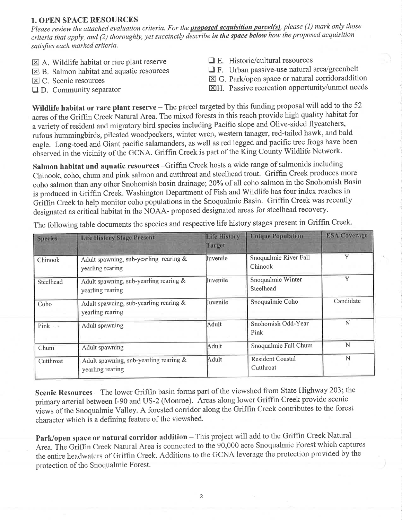#### 1. OPEN SPACE RESOURCES

Please review the attached evaluation criteria. For the **proposed acquisition parcel(s)**, please (1) mark only those criteria that apply, and (2) thoroughly, yet succinctly describe in the space below how the proposed acquisition satisfies each marked criteria.

- $\boxtimes$  A. Wildlife habitat or rare plant reserve
- $\boxtimes$  B. Salmon habitat and aquatic resources
- $\boxtimes$  C. Scenic resources
- $\Box$  D. Community separator
- $\Box$  E. Historic/cultural resources
- $\Box$  F. Urban passive-use natural area/greenbelt
- $\boxtimes$  G. Park/open space or natural corridoraddition
- EIH. Passive recreation opportunity/unmet needs

Wildlife habitat or rare plant reserve  $-$  The parcel targeted by this funding proposal will add to the 52 acres of the Griffin Creek Natural Area. The mixed forests in this reach provide high quality habitat for avanety of resident and migratory bird species including Pacific slope and Olive-sided flycatchers, rufous hummingbirds, pileated woodpeckers, winter wren, western tanager, red-tailed hawk, and bald eagle. Long-toed and Giant pacific salamanders, as well as red legged and pacific tree frogs have been observed in the vicinity of the GCNA. Griffin Creek is part of the King County Wildlife Network.

Salmon habitat and aquatic resources -Griffin Creek hosts a wide range of salmonids including Chinook, coho, chum and pink salmon and cutthroat and steelhead trout. Griffin Creek produces more coho salmon than any other Snohomish basin drainage; 20% of all coho salmon in the Snohomish Basin is produced in Griffin Creek. Washington Department of Fish and Wildlife has four index reaches in Griffin Creek to help monitor coho populations in the Snoqualmie Basin. Griffin Creek was recently designated as critical habitat in the NOAA- proposed designated areas for steelhead recovery.

| <b>Species</b> | <b>Life History Stage Present</b>                          | <b>Life History</b><br>Target                     | <b>Unique Population</b>             | <b>ESA</b> Coverage |
|----------------|------------------------------------------------------------|---------------------------------------------------|--------------------------------------|---------------------|
| Chinook        | Adult spawning, sub-yearling rearing &<br>yearling rearing |                                                   | Snoqualmie River Fall<br>Chinook     | Y                   |
| Steelhead      | Adult spawning, sub-yearling rearing &<br>yearling rearing | Snoqualmie Winter<br><b>Juvenile</b><br>Steelhead |                                      |                     |
| Coho           | Adult spawning, sub-yearling rearing &<br>yearling rearing | Juvenile                                          | Snoqualmie Coho                      | Candidate           |
| Pink ·         | Adult spawning                                             | Adult                                             | Snohomish Odd-Year<br>Pink           | Ň                   |
| Chum           | Adult spawning                                             | Adult                                             | Snoqualmie Fall Chum                 | N                   |
| Cutthroat      | Adult spawning, sub-yearling rearing &<br>yearling rearing | Adult                                             | <b>Resident Coastal</b><br>Cutthroat | N                   |

The following table documents the species and respective life history stages present in Griffin Creek.

Scenic Resources - The lower Griffin basin forms part of the viewshed from State Highway 203; the primary arterial between I-90 and US-2 (Monroe). Areas along lower Griffin Creek provide scenic views of the Snoqualmie Valley. A forested corridor along the Griffin Creek contributes to the forest character which is a defining feature of the viewshed.

Park/open space or natural corridor addition - This project will add to the Griffin Creek Natural Area. The Griffin Creek Natural Area is connected to the 90,000 acre Snoqualmie Forest which captures the entire headwaters of Griffin Creek. Additions to the GCNA leverage the protection provided by the protection of the Snoquahnie Forest.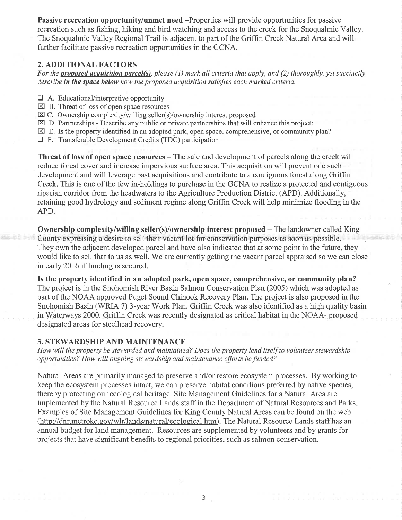Passive recreation opportunity/unmet need -Properties will provide opportunities for passive recreation such as fishing, hiking and bird watching and access to the creek for the Snoqualmie Valley. The Snoqualmie Valley Regional Trail is adjacent to part of the Griffin Creek Natural Area and will further facilitate passive recreation opportunities in the GCNA.

#### 2. ADDITIONAL FACTORS

For the **proposed acquisition parcel(s)**, please (1) mark all criteria that apply, and (2) thoroughly, yet succinctly describe in the space below how the proposed acquisition satisfies each marked criteria.

- $\Box$  A. Educational/interpretive opportunity
- $\boxtimes$  B. Threat of loss of open space resources
- $\boxtimes$  C. Ownership complexity/willing seller(s)/ownership interest proposed
- $\boxtimes$  D. Partnerships Describe any public or private partnerships that will enhance this project:
- $\boxtimes$  E. Is the property identified in an adopted park, open space, comprehensive, or community plan?
- E F. Transferable Development Credits (TDC) participation

Threat of loss of open space resources - The sale and development of parcels along the creek will reduce forest cover and increase impervious surface area. This acquisition will prevent one such development and will leverage past acquisitions and contribute to a contiguous forest along Griffin Creek. This is one of the few in-holdings to purchase in the GCNA to rcalize a protected and contiguous riparian corridor from the headwaters to the Agriculture Production District (APD). Additionally, retaining good hydrology and sediment regime along Griffin Creek will help minimize flooding in the APD.

Ownership complexity/willing seller(s)/ownership interest proposed – The landowner called King County expressing a desire to sell their vacant lot for conservation purposes as soon as possible They own the adjacent developed parcel and have also indicated that at some point in the future, they would like to sell that to us as well. We are currently getting the vacant parcel appraised so we can close in early 2016 if funding is secured.

Is the property identified in an adopted park, open space, comprehensive, or community plan? The project is in the Snohomish River Basin Salmon Conservation Plan (2005) which was adopted as part of the NOAA approved Puget Sound Chinook Recovery Plan. The project is also proposed in the Snohomish Basin (WRIA 7) 3-year Work Plan. Griffin Creek was also identified as a high quality basin in Waterways 2000. Griffin Creek was recently designated as critical habitat in the NOAA- proposed designated areas for steelhead recovery.

#### 3. STEWARDSHIP AND MAINTENANCE

How will the property be stewarded and maintained? Does the property lend itself to volunteer stewardship opportunities? How will ongoing stewardship and maintenance efforts be funded?

Natural Areas are primarily managed to preserve and/or restore ecosystem processes. By working to keep the ecosystem processes intact, we can preserve habitat conditions preferred by native species, thereby protecting our ecological heritage. Site Management Guidelines for a Natural Area are implemented by the Natural Resource Lands staff in the Department of Natural Resources and Parks, Examples of Site Management Guidelines for King County Natural Areas can be found on the web (http://dnr.metrokc.gov/wlr/lands/natural/ecological.htm). The Natural Resource Lands staff has an annual budget for land management. Resources are supplemented by volunteers and by grants for projects that have significant benefits to regional priorities, such as salmon conservation.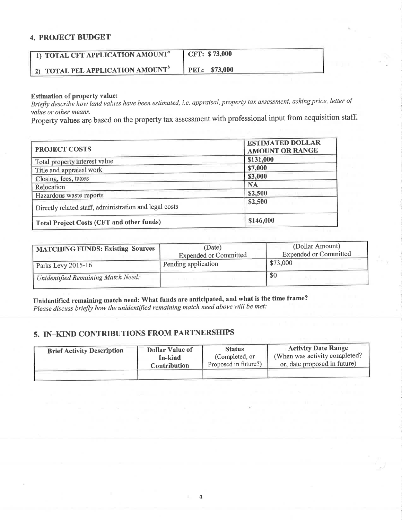#### 4. PROJECT BUDGET

| 1) TOTAL CFT APPLICATION AMOUNT <sup>a</sup> | CFT: \$73,000 |
|----------------------------------------------|---------------|
| 2) TOTAL PEL APPLICATION AMOUNT              | PEL: \$73,000 |

#### Estimation of property value:

Briefly describe how land values have been estimated, i.e. appraisal, property tax assessment, asking price, letter of value or other means.

property values are based on the property tax assessment with professional input from acquisition staff,

| <b>PROJECT COSTS</b>                                   | <b>ESTIMATED DOLLAR</b><br><b>AMOUNT OR RANGE</b> |  |  |
|--------------------------------------------------------|---------------------------------------------------|--|--|
| Total property interest value                          | \$131,000                                         |  |  |
| Title and appraisal work                               | \$7,000                                           |  |  |
| Closing, fees, taxes                                   | \$3,000                                           |  |  |
| Relocation                                             | <b>NA</b>                                         |  |  |
| Hazardous waste reports                                | \$2,500                                           |  |  |
| Directly related staff, administration and legal costs | \$2,500                                           |  |  |
| Total Project Costs (CFT and other funds)              | \$146,000                                         |  |  |

| MATCHING FUNDS: Existing Sources   | (Date)<br><b>Expended or Committed</b> | (Dollar Amount)<br><b>Expended or Committed</b> |  |
|------------------------------------|----------------------------------------|-------------------------------------------------|--|
| Parks Levy 2015-16                 | Pending application                    | \$73,000                                        |  |
| Unidentified Remaining Match Need: |                                        | \$0                                             |  |

Unidentified remaining match need: What funds are anticipated, and what is the time frame? Please discuss briefly how the unidentified remaining match need above will be met:

## 5. IN\_KIND CONTRIBUTIONS FROM PARTNERSHIPS

| <b>Brief Activity Description</b> | <b>Dollar Value of</b> | <b>Status</b>        | <b>Activity Date Range</b>     |
|-----------------------------------|------------------------|----------------------|--------------------------------|
|                                   | In-kind                | (Completed, or       | (When was activity completed?) |
|                                   | Contribution           | Proposed in future?) | or, date proposed in future)   |
|                                   |                        |                      |                                |

¥.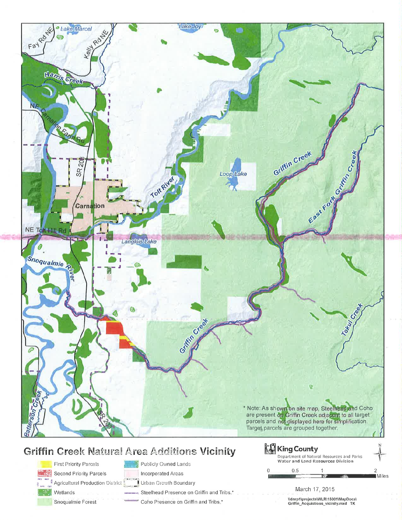

# Publicly Owned Lands

**First Priority Parcels** Second Priority Parcels

Agricultural Production District

Wetlands Snoqualmie Forest

Incorporated Areas Urban Growth Boundary Steelhead Presence on Griffin and Tribs.\*

Coho Presence on Griffin and Tribs.\*

| Water and Land Resources Division | Department of Natural Resources and Parks |         |
|-----------------------------------|-------------------------------------------|---------|
| 0.5                               |                                           |         |
|                                   |                                           | I Miles |
|                                   |                                           |         |

March 17, 2015

\\dnrp1\projects\WLR\15001\MapDocs\<br>Griffin\_Acquistions\_vicinity.mxd TK